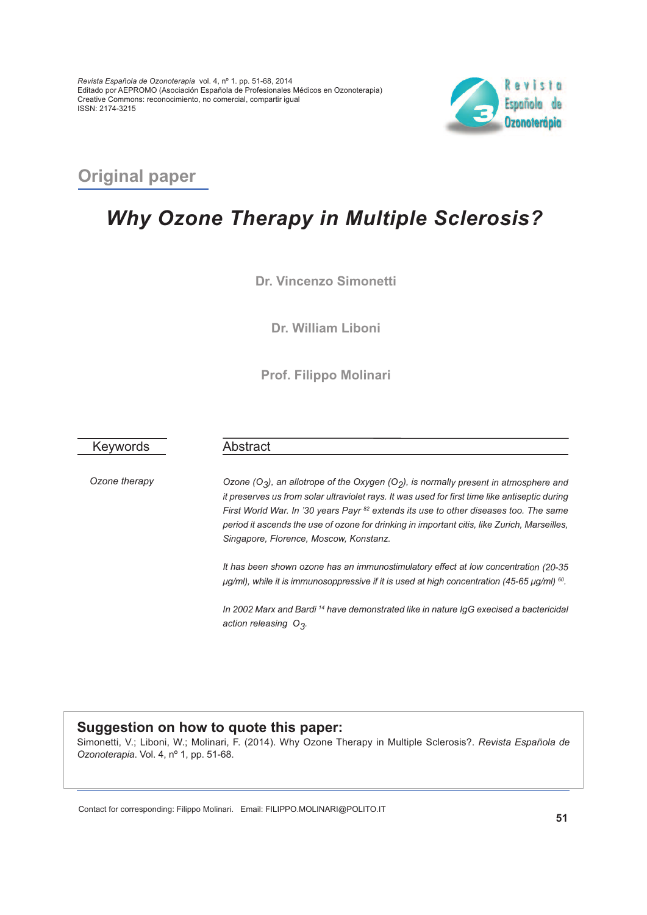

### **Original paper**

# *Why Ozone Therapy in Multiple Sclerosis?*

**Dr. Vincenzo Simonetti**

**Dr. William Liboni**

**Prof. Filippo Molinari**

Keywords

*Ozone therapy*

Abstract

*Ozone (O3), an allotrope of the Oxygen (O2), is normally present in atmosphere and it preserves us from solar ultraviolet rays. It was used for first time like antiseptic during First World War. In '30 years Payr <sup>82</sup> extends its use to other diseases too. The same period it ascends the use of ozone for drinking in important citis, like Zurich, Marseilles, Singapore, Florence, Moscow, Konstanz.*

*It has been shown ozone has an immunostimulatory effect at low concentration (20-35 μg/ml), while it is immunosoppressive if it is used at high concentration (45-65 μg/ml) <sup>60</sup> .*

*In 2002 Marx and Bardi <sup>14</sup> have demonstrated like in nature IgG execised <sup>a</sup> bactericidal action releasing O3.*

#### **Suggestion on how to quote this paper:**

Simonetti, V.; Liboni, W.; Molinari, F. (2014). Why Ozone Therapy in Multiple Sclerosis?. *Revista Española de Ozonoterapia*. Vol. 4, nº 1, pp. 51-68.

Contact for corresponding: Filippo Molinari. Email: FILIPPO.MOLINARI@POLITO.IT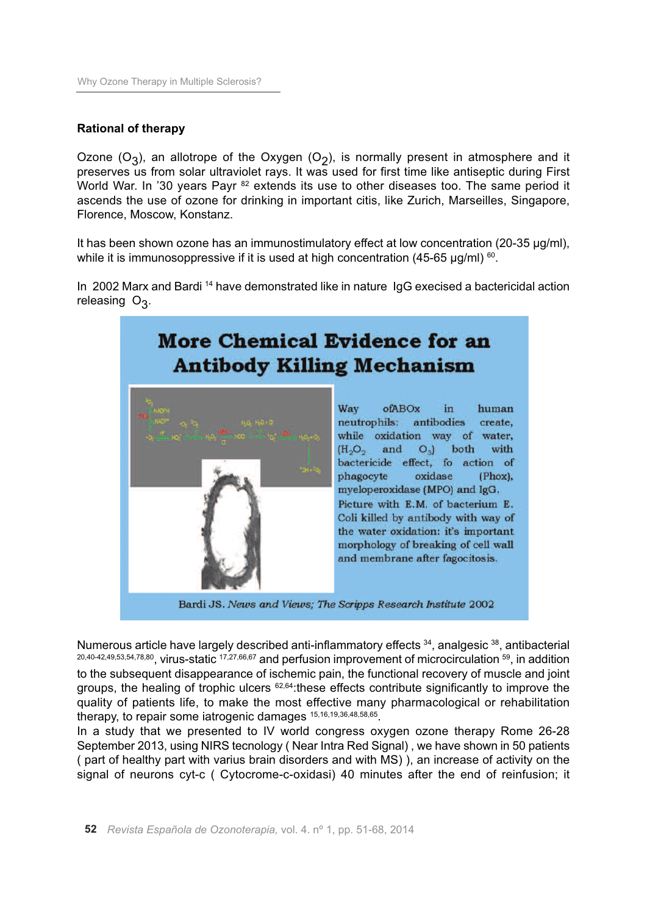### **Rational of therapy**

Ozone (O<sub>3</sub>), an allotrope of the Oxygen (O<sub>2</sub>), is normally present in atmosphere and it preserves us from solar ultraviolet rays. It was used for first time like antiseptic during First World War. In '30 years Payr <sup>82</sup> extends its use to other diseases too. The same period it ascends the use of ozone for drinking in important citis, like Zurich, Marseilles, Singapore, Florence, Moscow, Konstanz.

It has been shown ozone has an immunostimulatory effect at low concentration (20-35 μg/ml), while it is immunosoppressive if it is used at high concentration (45-65  $\mu$ g/ml) <sup>60</sup>.

In 2002 Marx and Bardi <sup>14</sup> have demonstrated like in nature IgG execised a bactericidal action releasing O<sub>3</sub>.

## **More Chemical Evidence for an Antibody Killing Mechanism**



Way ofABOx in human neutrophils: antibodies create. while oxidation way of water,  $(H<sub>2</sub>O<sub>2</sub>$  and  $O<sub>3</sub>)$  both with bactericide effect, fo action of phagocyte oxidase  $(Phox)$ . myeloperoxidase (MPO) and IgG. Picture with E.M. of bacterium E. Coli killed by antibody with way of the water oxidation: it's important morphology of breaking of cell wall and membrane after fagocitosis.

Bardi JS. News and Views; The Scripps Research Institute 2002

Numerous article have largely described anti-inflammatory effects <sup>34</sup>, analgesic <sup>38</sup>, antibacterial  $^{20,40-42,49,53,54,78,80}$ , virus-static  $^{17,27,66,67}$  and perfusion improvement of microcirculation  $^{59}$ , in addition to the subsequent disappearance of ischemic pain, the functional recovery of muscle and joint groups, the healing of trophic ulcers <sup>62,64</sup>: these effects contribute significantly to improve the quality of patients life, to make the most effective many pharmacological or rehabilitation therapy, to repair some iatrogenic damages 15,16,19,36,48,58,65.

In a study that we presented to IV world congress oxygen ozone therapy Rome 26-28 September 2013, using NIRS tecnology ( Near Intra Red Signal) , we have shown in 50 patients ( part of healthy part with varius brain disorders and with MS) ), an increase of activity on the signal of neurons cyt-c ( Cytocrome-c-oxidasi) 40 minutes after the end of reinfusion; it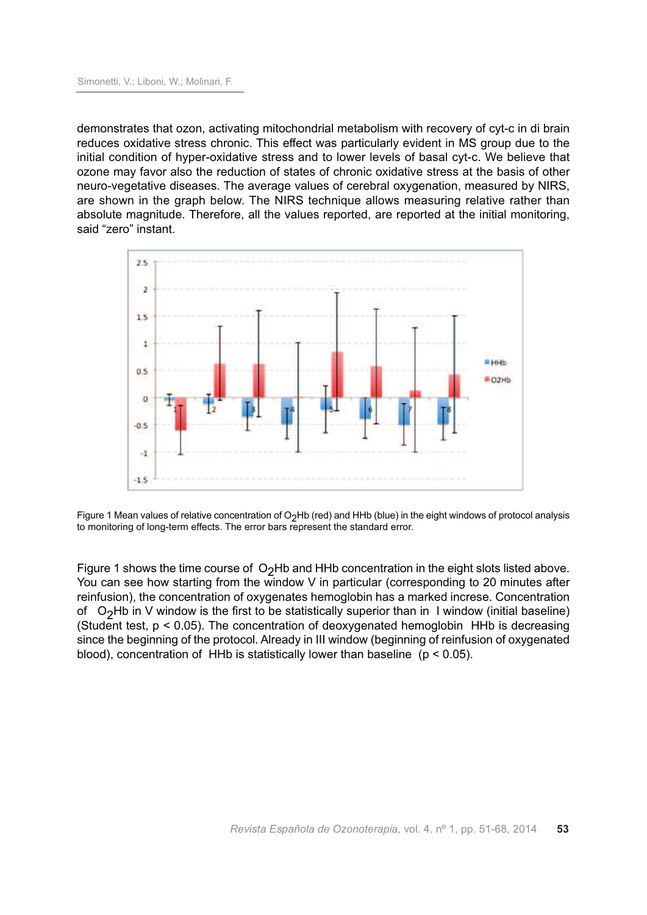demonstrates that ozon, activating mitochondrial metabolism with recovery of cyt-c in di brain reduces oxidative stress chronic. This effect was particularly evident in MS group due to the initial condition of hyper-oxidative stress and to lower levels of basal cyt-c. We believe that ozone may favor also the reduction of states of chronic oxidative stress at the basis of other neuro-vegetative diseases. The average values of cerebral oxygenation, measured by NIRS, are shown in the graph below. The NIRS technique allows measuring relative rather than absolute magnitude. Therefore, all the values reported, are reported at the initial monitoring, said "zero" instant.



Figure 1 Mean values of relative concentration of  $O_2$ Hb (red) and HHb (blue) in the eight windows of protocol analysis to monitoring of long-term effects. The error bars represent the standard error.

Figure 1 shows the time course of  $O<sub>2</sub>Hb$  and HHb concentration in the eight slots listed above. You can see how starting from the window V in particular (corresponding to 20 minutes after reinfusion), the concentration of oxygenates hemoglobin has a marked increse. Concentration of O<sub>2</sub>Hb in V window is the first to be statistically superior than in I window (initial baseline) (Student test,  $p < 0.05$ ). The concentration of deoxygenated hemoglobin HHb is decreasing since the beginning of the protocol. Already in III window (beginning of reinfusion of oxygenated blood), concentration of HHb is statistically lower than baseline ( $p < 0.05$ ).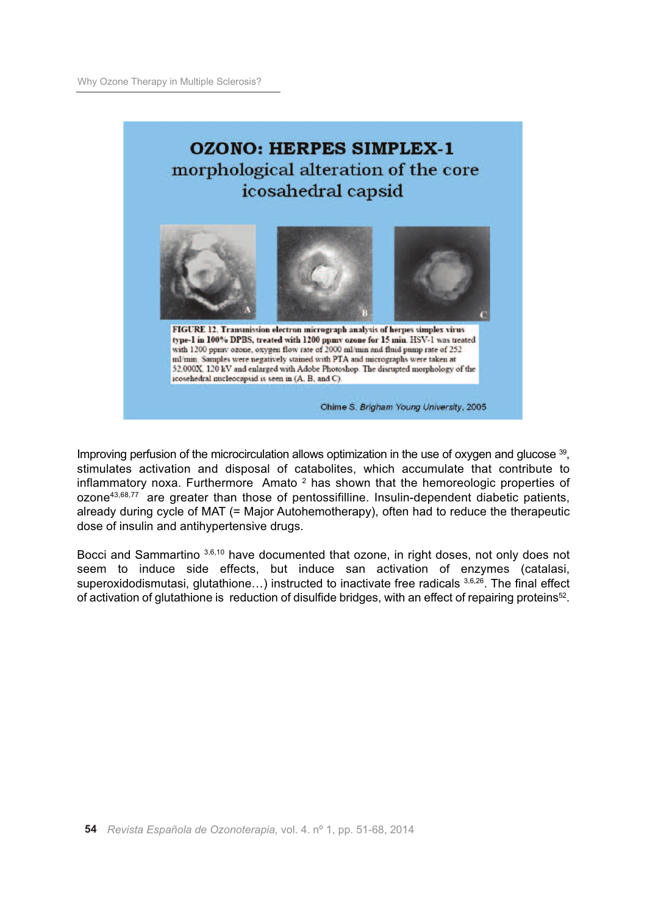## **OZONO: HERPES SIMPLEX-1** morphological alteration of the core icosahedral capsid



FIGURE 12. Transmission electron micrograph analysis of herpes simplex virus type-1 in 100% DPBS, treated with 1200 ppmv ozone for 15 min. HSV-1 was treated with 1200 ppmv ozone, oxygen flow rate of 2000 ml/min and fluid pump rate of 252 ml/min. Samples were negatively stained with PTA and micrographs were taken at 52,000X, 120 kV and enlarged with Adobe Photoshop. The disrupted morphology of the icosehedral nucleocapsid is seen in (A, B, and C).

Ohime S. Brigham Young University, 2005

Improving perfusion of the microcirculation allows optimization in the use of oxygen and glucose 39, stimulates activation and disposal of catabolites, which accumulate that contribute to inflammatory noxa. Furthermore Amato  $2$  has shown that the hemoreologic properties of ozone43,68,77 are greater than those of pentossifilline. Insulin-dependent diabetic patients, already during cycle of MAT (= Major Autohemotherapy), often had to reduce the therapeutic dose of insulin and antihypertensive drugs.

Bocci and Sammartino 3,6,10 have documented that ozone, in right doses, not only does not seem to induce side effects, but induce san activation of enzymes (catalasi, superoxidodismutasi, glutathione...) instructed to inactivate free radicals 3,6,26. The final effect of activation of glutathione is reduction of disulfide bridges, with an effect of repairing proteins<sup>52</sup>.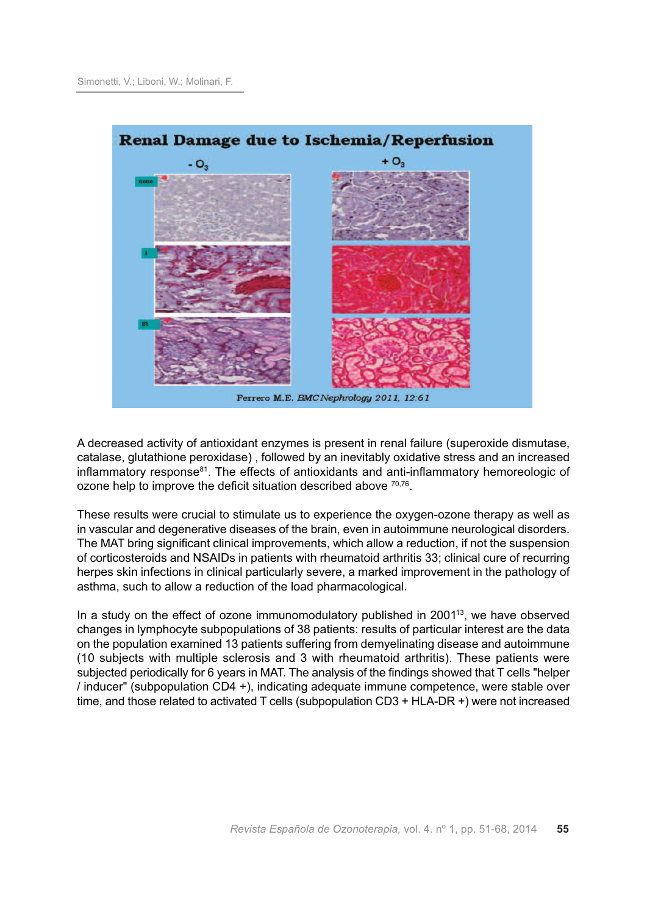

A decreased activity of antioxidant enzymes is present in renal failure (superoxide dismutase, catalase, glutathione peroxidase) , followed by an inevitably oxidative stress and an increased inflammatory response $81$ . The effects of antioxidants and anti-inflammatory hemoreologic of ozone help to improve the deficit situation described above  $70,76$ .

These results were crucial to stimulate us to experience the oxygen-ozone therapy as well as in vascular and degenerative diseases of the brain, even in autoimmune neurological disorders. The MAT bring significant clinical improvements, which allow a reduction, if not the suspension of corticosteroids and NSAIDs in patients with rheumatoid arthritis 33; clinical cure of recurring herpes skin infections in clinical particularly severe, a marked improvement in the pathology of asthma, such to allow a reduction of the load pharmacological.

In a study on the effect of ozone immunomodulatory published in  $2001<sup>13</sup>$ , we have observed changes in lymphocyte subpopulations of 38 patients: results of particular interest are the data on the population examined 13 patients suffering from demyelinating disease and autoimmune (10 subjects with multiple sclerosis and 3 with rheumatoid arthritis). These patients were subjected periodically for 6 years in MAT. The analysis of the findings showed that T cells "helper / inducer" (subpopulation CD4 +), indicating adequate immune competence, were stable over time, and those related to activated T cells (subpopulation CD3 + HLA-DR +) were not increased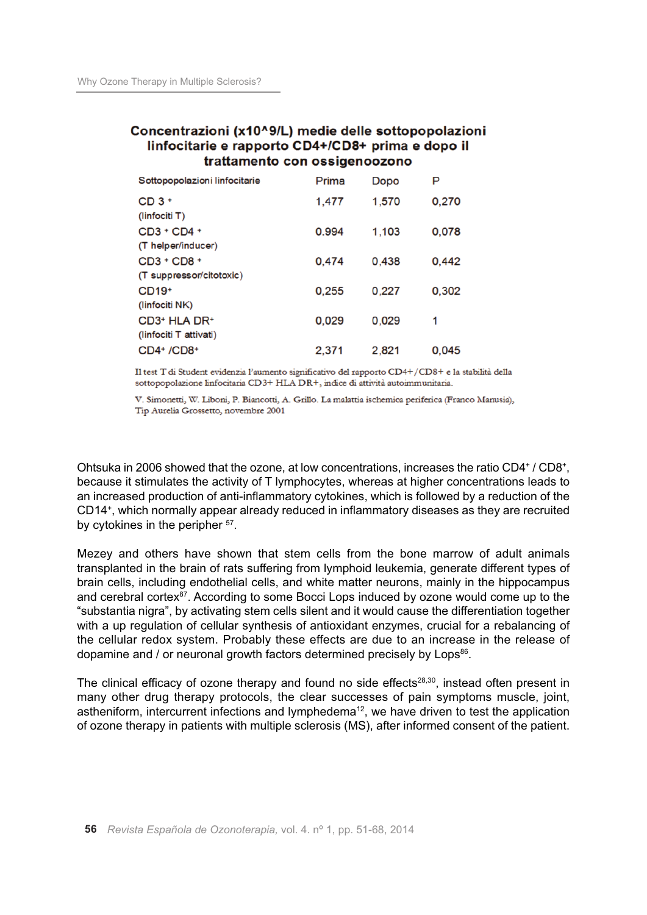### Concentrazioni (x10^9/L) medie delle sottopopolazioni linfocitarie e rapporto CD4+/CD8+ prima e dopo il trattamento con ossigenoozono

| Sottopopolazioni linfocitarie                                  | Prima | Dopo  | P     |
|----------------------------------------------------------------|-------|-------|-------|
| $CD3+$<br>(linfociti T)                                        | 1,477 | 1,570 | 0,270 |
| CD3 + CD4 +<br>(T helper/inducer)                              | 0.994 | 1,103 | 0,078 |
| $CD3 + CD8 +$<br>(T suppressor/citotoxic)                      | 0,474 | 0.438 | 0,442 |
| $CD19+$<br>(linfociti NK)                                      | 0,255 | 0.227 | 0,302 |
| CD3 <sup>+</sup> HLA DR <sup>+</sup><br>(linfociti T attivati) | 0,029 | 0.029 | 1     |
| CD4+ /CD8+                                                     | 2.371 | 2,821 | 0.045 |

Il test T di Student evidenzia l'aumento significativo del rapporto CD4+/CD8+ e la stabilità della sottopopolazione linfocitaria CD3+ HLA DR+, indice di attività autoimmunitaria.

V. Simonetti, W. Liboni, P. Biancotti, A. Grillo. La malattia ischemica periferica (Franco Manusia), Tip Aurelia Grossetto, novembre 2001

Ohtsuka in 2006 showed that the ozone, at low concentrations, increases the ratio CD4+ / CD8+, because it stimulates the activity of T lymphocytes, whereas at higher concentrations leads to an increased production of anti-inflammatory cytokines, which is followed by a reduction of the CD14+, which normally appear already reduced in inflammatory diseases as they are recruited by cytokines in the peripher <sup>57</sup>.

Mezey and others have shown that stem cells from the bone marrow of adult animals transplanted in the brain of rats suffering from lymphoid leukemia, generate different types of brain cells, including endothelial cells, and white matter neurons, mainly in the hippocampus and cerebral cortex<sup>87</sup>. According to some Bocci Lops induced by ozone would come up to the "substantia nigra", by activating stem cells silent and it would cause the differentiation together with a up regulation of cellular synthesis of antioxidant enzymes, crucial for a rebalancing of the cellular redox system. Probably these effects are due to an increase in the release of dopamine and / or neuronal growth factors determined precisely by Lops<sup>86</sup>.

The clinical efficacy of ozone therapy and found no side effects<sup>28,30</sup>, instead often present in many other drug therapy protocols, the clear successes of pain symptoms muscle, joint, astheniform, intercurrent infections and lymphedema<sup>12</sup>, we have driven to test the application of ozone therapy in patients with multiple sclerosis (MS), after informed consent of the patient.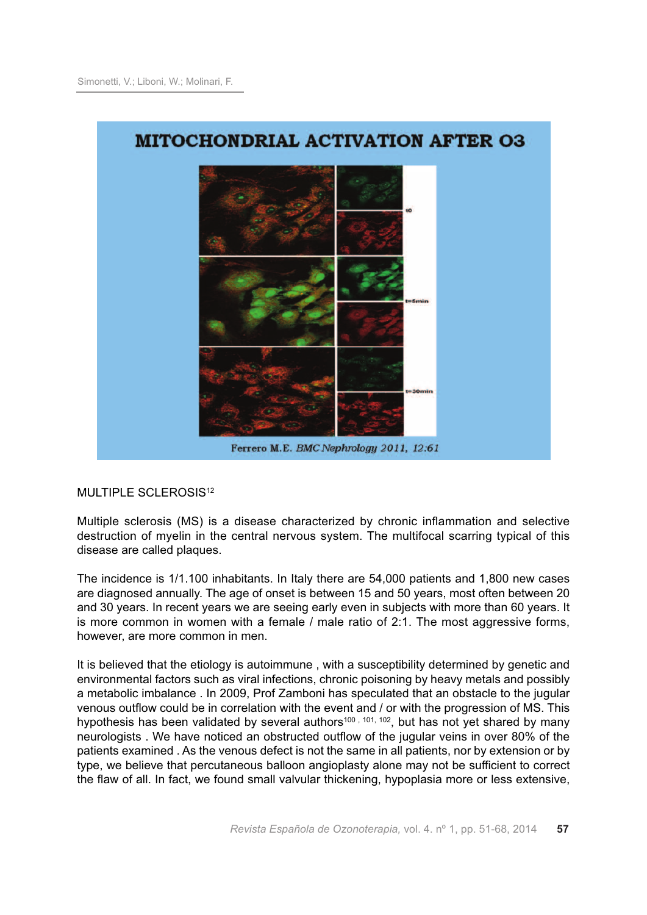

MULTIPLE SCLEROSIS<sup>12</sup>

Multiple sclerosis (MS) is a disease characterized by chronic inflammation and selective destruction of myelin in the central nervous system. The multifocal scarring typical of this disease are called plaques.

The incidence is 1/1.100 inhabitants. In Italy there are 54,000 patients and 1,800 new cases are diagnosed annually. The age of onset is between 15 and 50 years, most often between 20 and 30 years. In recent years we are seeing early even in subjects with more than 60 years. It is more common in women with a female / male ratio of 2:1. The most aggressive forms, however, are more common in men.

It is believed that the etiology is autoimmune , with a susceptibility determined by genetic and environmental factors such as viral infections, chronic poisoning by heavy metals and possibly a metabolic imbalance . In 2009, Prof Zamboni has speculated that an obstacle to the jugular venous outflow could be in correlation with the event and / or with the progression of MS. This hypothesis has been validated by several authors<sup>100, 101, 102</sup>, but has not yet shared by many neurologists . We have noticed an obstructed outflow of the jugular veins in over 80% of the patients examined . As the venous defect is not the same in all patients, nor by extension or by type, we believe that percutaneous balloon angioplasty alone may not be sufficient to correct the flaw of all. In fact, we found small valvular thickening, hypoplasia more or less extensive,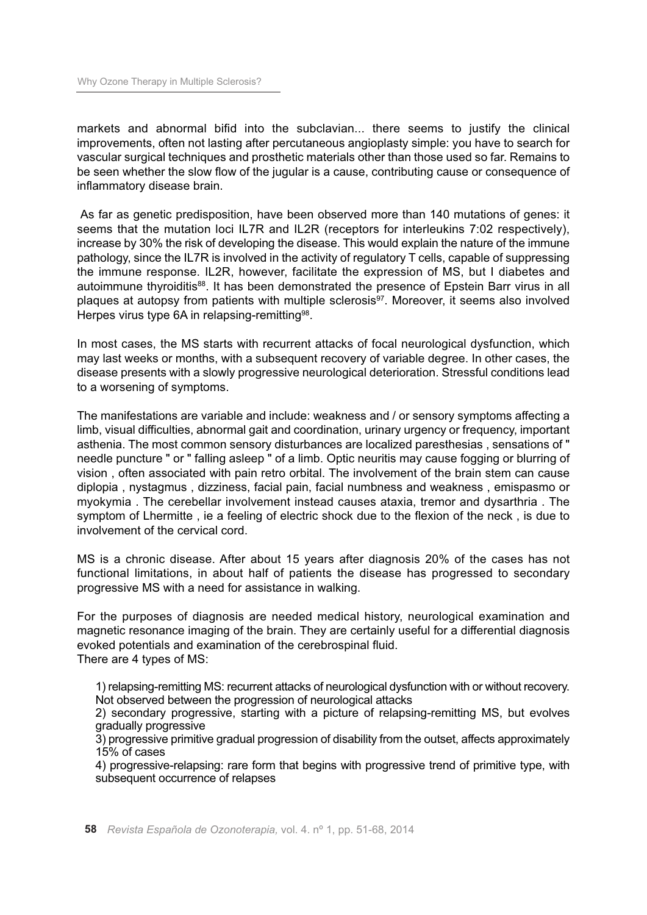markets and abnormal bifid into the subclavian... there seems to justify the clinical improvements, often not lasting after percutaneous angioplasty simple: you have to search for vascular surgical techniques and prosthetic materials other than those used so far. Remains to be seen whether the slow flow of the jugular is a cause, contributing cause or consequence of inflammatory disease brain.

As far as genetic predisposition, have been observed more than 140 mutations of genes: it seems that the mutation loci IL7R and IL2R (receptors for interleukins 7:02 respectively), increase by 30% the risk of developing the disease. This would explain the nature of the immune pathology, since the IL7R is involved in the activity of regulatory T cells, capable of suppressing the immune response. IL2R, however, facilitate the expression of MS, but I diabetes and autoimmune thyroiditis<sup>88</sup>. It has been demonstrated the presence of Epstein Barr virus in all plaques at autopsy from patients with multiple sclerosis<sup>97</sup>. Moreover, it seems also involved Herpes virus type 6A in relapsing-remitting<sup>98</sup>.

In most cases, the MS starts with recurrent attacks of focal neurological dysfunction, which may last weeks or months, with a subsequent recovery of variable degree. In other cases, the disease presents with a slowly progressive neurological deterioration. Stressful conditions lead to a worsening of symptoms.

The manifestations are variable and include: weakness and / or sensory symptoms affecting a limb, visual difficulties, abnormal gait and coordination, urinary urgency or frequency, important asthenia. The most common sensory disturbances are localized paresthesias , sensations of " needle puncture " or " falling asleep " of a limb. Optic neuritis may cause fogging or blurring of vision , often associated with pain retro orbital. The involvement of the brain stem can cause diplopia , nystagmus , dizziness, facial pain, facial numbness and weakness , emispasmo or myokymia . The cerebellar involvement instead causes ataxia, tremor and dysarthria . The symptom of Lhermitte , ie a feeling of electric shock due to the flexion of the neck , is due to involvement of the cervical cord.

MS is a chronic disease. After about 15 years after diagnosis 20% of the cases has not functional limitations, in about half of patients the disease has progressed to secondary progressive MS with a need for assistance in walking.

For the purposes of diagnosis are needed medical history, neurological examination and magnetic resonance imaging of the brain. They are certainly useful for a differential diagnosis evoked potentials and examination of the cerebrospinal fluid. There are 4 types of MS:

1) relapsing-remitting MS: recurrent attacks of neurological dysfunction with or without recovery. Not observed between the progression of neurological attacks

2) secondary progressive, starting with a picture of relapsing-remitting MS, but evolves gradually progressive

3) progressive primitive gradual progression of disability from the outset, affects approximately 15% of cases

4) progressive-relapsing: rare form that begins with progressive trend of primitive type, with subsequent occurrence of relapses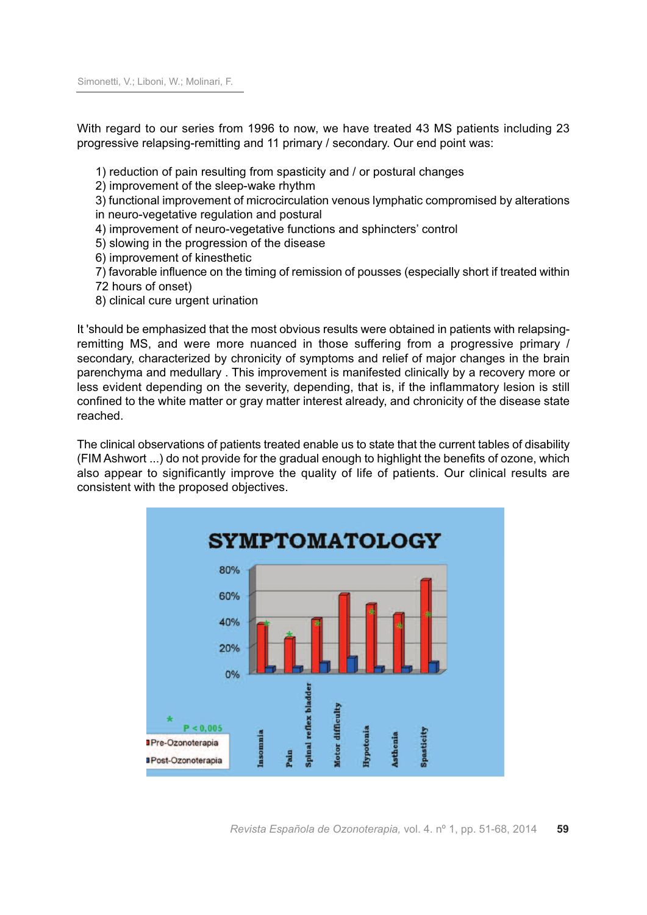Simonetti, V.; Liboni, W.; Molinari, F.

With regard to our series from 1996 to now, we have treated 43 MS patients including 23 progressive relapsing-remitting and 11 primary / secondary. Our end point was:

1) reduction of pain resulting from spasticity and / or postural changes

2) improvement of the sleep-wake rhythm

3) functional improvement of microcirculation venous lymphatic compromised by alterations in neuro-vegetative regulation and postural

4) improvement of neuro-vegetative functions and sphincters' control

5) slowing in the progression of the disease

6) improvement of kinesthetic

7) favorable influence on the timing of remission of pousses (especially short if treated within 72 hours of onset)

8) clinical cure urgent urination

It 'should be emphasized that the most obvious results were obtained in patients with relapsingremitting MS, and were more nuanced in those suffering from a progressive primary / secondary, characterized by chronicity of symptoms and relief of major changes in the brain parenchyma and medullary . This improvement is manifested clinically by a recovery more or less evident depending on the severity, depending, that is, if the inflammatory lesion is still confined to the white matter or gray matter interest already, and chronicity of the disease state reached.

The clinical observations of patients treated enable us to state that the current tables of disability (FIM Ashwort ...) do not provide for the gradual enough to highlight the benefits of ozone, which also appear to significantly improve the quality of life of patients. Our clinical results are consistent with the proposed objectives.

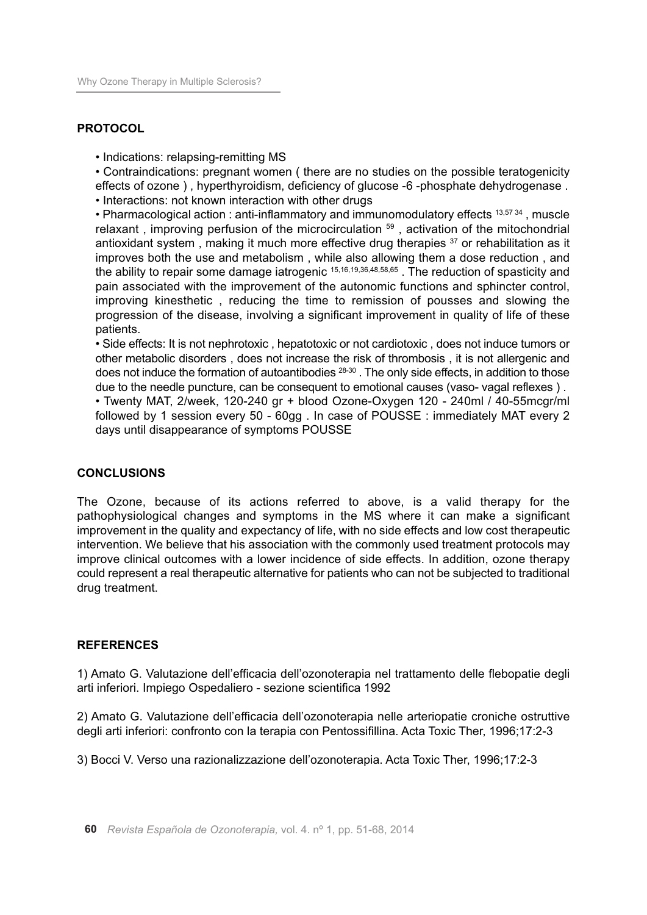### **PROTOCOL**

• Indications: relapsing-remitting MS

• Contraindications: pregnant women ( there are no studies on the possible teratogenicity effects of ozone ) , hyperthyroidism, deficiency of glucose -6 -phosphate dehydrogenase . • Interactions: not known interaction with other drugs

• Pharmacological action : anti-inflammatory and immunomodulatory effects 13,5734, muscle relaxant, improving perfusion of the microcirculation <sup>59</sup>, activation of the mitochondrial antioxidant system, making it much more effective drug therapies <sup>37</sup> or rehabilitation as it improves both the use and metabolism , while also allowing them a dose reduction , and the ability to repair some damage iatrogenic <sup>15,16,19,36,48,58,65</sup>. The reduction of spasticity and pain associated with the improvement of the autonomic functions and sphincter control, improving kinesthetic , reducing the time to remission of pousses and slowing the progression of the disease, involving a significant improvement in quality of life of these patients.

• Side effects: It is not nephrotoxic , hepatotoxic or not cardiotoxic , does not induce tumors or other metabolic disorders , does not increase the risk of thrombosis , it is not allergenic and does not induce the formation of autoantibodies 28-30 . The only side effects, in addition to those due to the needle puncture, can be consequent to emotional causes (vaso- vagal reflexes ) .

• Twenty MAT, 2/week, 120-240 gr + blood Ozone-Oxygen 120 - 240ml / 40-55mcgr/ml followed by 1 session every 50 - 60gg . In case of POUSSE : immediately MAT every 2 days until disappearance of symptoms POUSSE

### **CONCLUSIONS**

The Ozone, because of its actions referred to above, is a valid therapy for the pathophysiological changes and symptoms in the MS where it can make a significant improvement in the quality and expectancy of life, with no side effects and low cost therapeutic intervention. We believe that his association with the commonly used treatment protocols may improve clinical outcomes with a lower incidence of side effects. In addition, ozone therapy could represent a real therapeutic alternative for patients who can not be subjected to traditional drug treatment.

### **REFERENCES**

1) Amato G. Valutazione dell'efficacia dell'ozonoterapia nel trattamento delle flebopatie degli arti inferiori. Impiego Ospedaliero - sezione scientifica 1992

2) Amato G. Valutazione dell'efficacia dell'ozonoterapia nelle arteriopatie croniche ostruttive degli arti inferiori: confronto con la terapia con Pentossifillina. Acta Toxic Ther, 1996;17:2-3

3) Bocci V. Verso una razionalizzazione dell'ozonoterapia. Acta Toxic Ther, 1996;17:2-3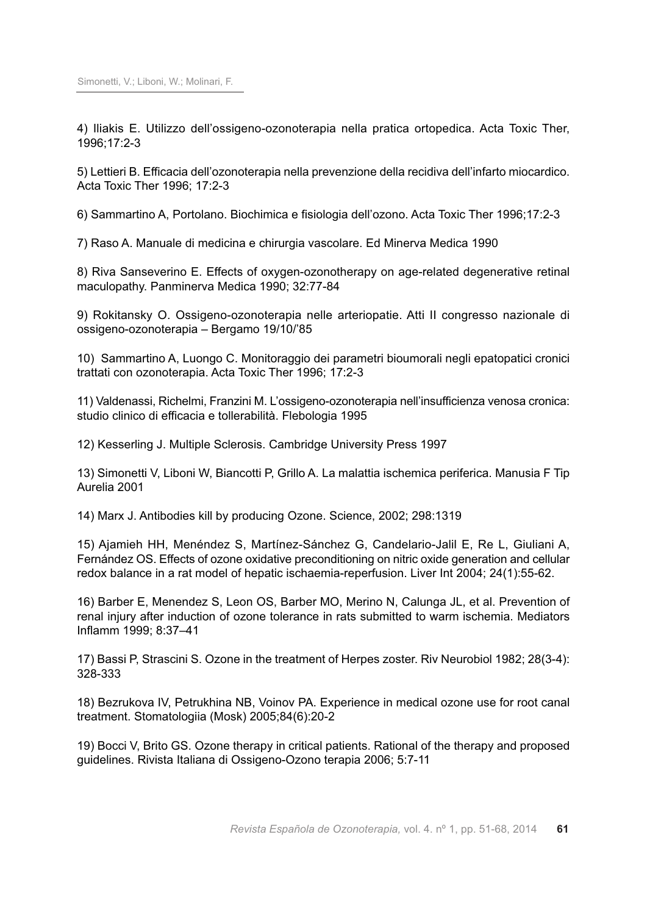4) Iliakis E. Utilizzo dell'ossigeno-ozonoterapia nella pratica ortopedica. Acta Toxic Ther, 1996;17:2-3

5) Lettieri B. Efficacia dell'ozonoterapia nella prevenzione della recidiva dell'infarto miocardico. Acta Toxic Ther 1996; 17:2-3

6) Sammartino A, Portolano. Biochimica e fisiologia dell'ozono. Acta Toxic Ther 1996;17:2-3

7) Raso A. Manuale di medicina e chirurgia vascolare. Ed Minerva Medica 1990

8) Riva Sanseverino E. Effects of oxygen-ozonotherapy on age-related degenerative retinal maculopathy. Panminerva Medica 1990; 32:77-84

9) Rokitansky O. Ossigeno-ozonoterapia nelle arteriopatie. Atti II congresso nazionale di ossigeno-ozonoterapia – Bergamo 19/10/'85

10) Sammartino A, Luongo C. Monitoraggio dei parametri bioumorali negli epatopatici cronici trattati con ozonoterapia. Acta Toxic Ther 1996; 17:2-3

11) Valdenassi, Richelmi, Franzini M. L'ossigeno-ozonoterapia nell'insufficienza venosa cronica: studio clinico di efficacia e tollerabilità. Flebologia 1995

12) Kesserling J. Multiple Sclerosis. Cambridge University Press 1997

13) Simonetti V, Liboni W, Biancotti P, Grillo A. La malattia ischemica periferica. Manusia F Tip Aurelia 2001

14) Marx J. Antibodies kill by producing Ozone. Science, 2002; 298:1319

15) Ajamieh HH, Menéndez S, Martínez-Sánchez G, Candelario-Jalil E, Re L, Giuliani A, Fernández OS. Effects of ozone oxidative preconditioning on nitric oxide generation and cellular redox balance in a rat model of hepatic ischaemia-reperfusion. Liver Int 2004; 24(1):55-62.

16) Barber E, Menendez S, Leon OS, Barber MO, Merino N, Calunga JL, et al. Prevention of renal injury after induction of ozone tolerance in rats submitted to warm ischemia. Mediators Inflamm 1999; 8:37–41

17) Bassi P, Strascini S. Ozone in the treatment of Herpes zoster. Riv Neurobiol 1982; 28(3-4): 328-333

18) Bezrukova IV, Petrukhina NB, Voinov PA. Experience in medical ozone use for root canal treatment. Stomatologiia (Mosk) 2005;84(6):20-2

19) Bocci V, Brito GS. Ozone therapy in critical patients. Rational of the therapy and proposed guidelines. Rivista Italiana di Ossigeno-Ozono terapia 2006; 5:7-11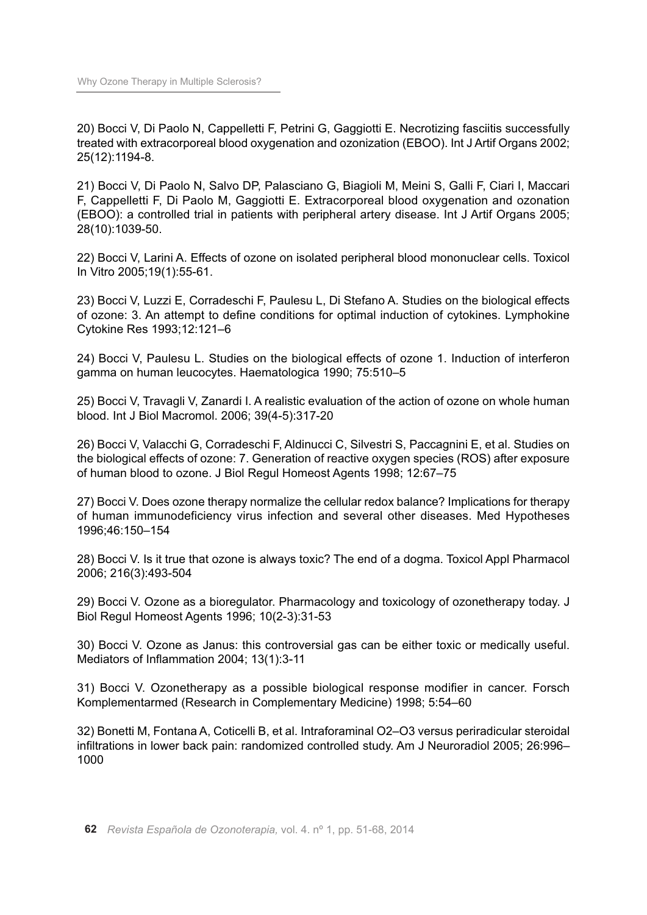20) Bocci V, Di Paolo N, Cappelletti F, Petrini G, Gaggiotti E. Necrotizing fasciitis successfully treated with extracorporeal blood oxygenation and ozonization (EBOO). Int J Artif Organs 2002; 25(12):1194-8.

21) Bocci V, Di Paolo N, Salvo DP, Palasciano G, Biagioli M, Meini S, Galli F, Ciari I, Maccari F, Cappelletti F, Di Paolo M, Gaggiotti E. Extracorporeal blood oxygenation and ozonation (EBOO): a controlled trial in patients with peripheral artery disease. Int J Artif Organs 2005; 28(10):1039-50.

22) Bocci V, Larini A. Effects of ozone on isolated peripheral blood mononuclear cells. Toxicol In Vitro 2005;19(1):55-61.

23) Bocci V, Luzzi E, Corradeschi F, Paulesu L, Di Stefano A. Studies on the biological effects of ozone: 3. An attempt to define conditions for optimal induction of cytokines. Lymphokine Cytokine Res 1993;12:121–6

24) Bocci V, Paulesu L. Studies on the biological effects of ozone 1. Induction of interferon gamma on human leucocytes. Haematologica 1990; 75:510–5

25) Bocci V, Travagli V, Zanardi I. A realistic evaluation of the action of ozone on whole human blood. Int J Biol Macromol. 2006; 39(4-5):317-20

26) Bocci V, Valacchi G, Corradeschi F, Aldinucci C, Silvestri S, Paccagnini E, et al. Studies on the biological effects of ozone: 7. Generation of reactive oxygen species (ROS) after exposure of human blood to ozone. J Biol Regul Homeost Agents 1998; 12:67–75

27) Bocci V. Does ozone therapy normalize the cellular redox balance? Implications for therapy of human immunodeficiency virus infection and several other diseases. Med Hypotheses 1996;46:150–154

28) Bocci V. Is it true that ozone is always toxic? The end of a dogma. Toxicol Appl Pharmacol 2006; 216(3):493-504

29) Bocci V. Ozone as a bioregulator. Pharmacology and toxicology of ozonetherapy today. J Biol Regul Homeost Agents 1996; 10(2-3):31-53

30) Bocci V. Ozone as Janus: this controversial gas can be either toxic or medically useful. Mediators of Inflammation 2004; 13(1):3-11

31) Bocci V. Ozonetherapy as a possible biological response modifier in cancer. Forsch Komplementarmed (Research in Complementary Medicine) 1998; 5:54–60

32) Bonetti M, Fontana A, Coticelli B, et al. Intraforaminal O2–O3 versus periradicular steroidal infiltrations in lower back pain: randomized controlled study. Am J Neuroradiol 2005; 26:996– 1000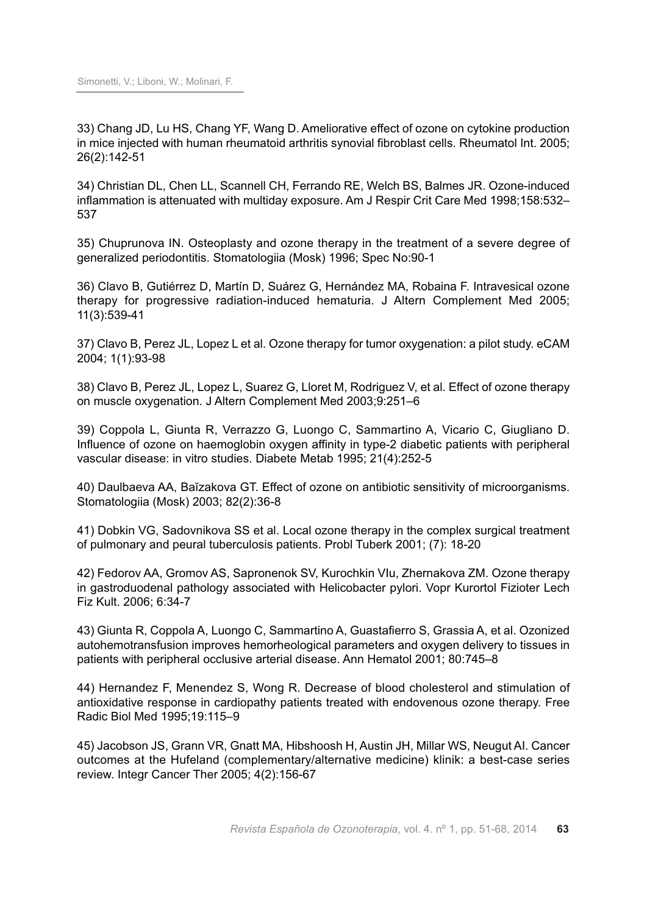33) Chang JD, Lu HS, Chang YF, Wang D. Ameliorative effect of ozone on cytokine production in mice injected with human rheumatoid arthritis synovial fibroblast cells. Rheumatol Int. 2005; 26(2):142-51

34) Christian DL, Chen LL, Scannell CH, Ferrando RE, Welch BS, Balmes JR. Ozone-induced inflammation is attenuated with multiday exposure. Am J Respir Crit Care Med 1998;158:532– 537

35) Chuprunova IN. Osteoplasty and ozone therapy in the treatment of a severe degree of generalized periodontitis. Stomatologiia (Mosk) 1996; Spec No:90-1

36) Clavo B, Gutiérrez D, Martín D, Suárez G, Hernández MA, Robaina F. Intravesical ozone therapy for progressive radiation-induced hematuria. J Altern Complement Med 2005; 11(3):539-41

37) Clavo B, Perez JL, Lopez L et al. Ozone therapy for tumor oxygenation: a pilot study. eCAM 2004; 1(1):93-98

38) Clavo B, Perez JL, Lopez L, Suarez G, Lloret M, Rodriguez V, et al. Effect of ozone therapy on muscle oxygenation. J Altern Complement Med 2003;9:251–6

39) Coppola L, Giunta R, Verrazzo G, Luongo C, Sammartino A, Vicario C, Giugliano D. Influence of ozone on haemoglobin oxygen affinity in type-2 diabetic patients with peripheral vascular disease: in vitro studies. Diabete Metab 1995; 21(4):252-5

40) Daulbaeva AA, Baĭzakova GT. Effect of ozone on antibiotic sensitivity of microorganisms. Stomatologiia (Mosk) 2003; 82(2):36-8

41) Dobkin VG, Sadovnikova SS et al. Local ozone therapy in the complex surgical treatment of pulmonary and peural tuberculosis patients. Probl Tuberk 2001; (7): 18-20

42) Fedorov AA, Gromov AS, Sapronenok SV, Kurochkin VIu, Zhernakova ZM. Ozone therapy in gastroduodenal pathology associated with Helicobacter pylori. Vopr Kurortol Fizioter Lech Fiz Kult. 2006; 6:34-7

43) Giunta R, Coppola A, Luongo C, Sammartino A, Guastafierro S, Grassia A, et al. Ozonized autohemotransfusion improves hemorheological parameters and oxygen delivery to tissues in patients with peripheral occlusive arterial disease. Ann Hematol 2001; 80:745–8

44) Hernandez F, Menendez S, Wong R. Decrease of blood cholesterol and stimulation of antioxidative response in cardiopathy patients treated with endovenous ozone therapy. Free Radic Biol Med 1995;19:115–9

45) Jacobson JS, Grann VR, Gnatt MA, Hibshoosh H, Austin JH, Millar WS, Neugut AI. Cancer outcomes at the Hufeland (complementary/alternative medicine) klinik: a best-case series review. Integr Cancer Ther 2005; 4(2):156-67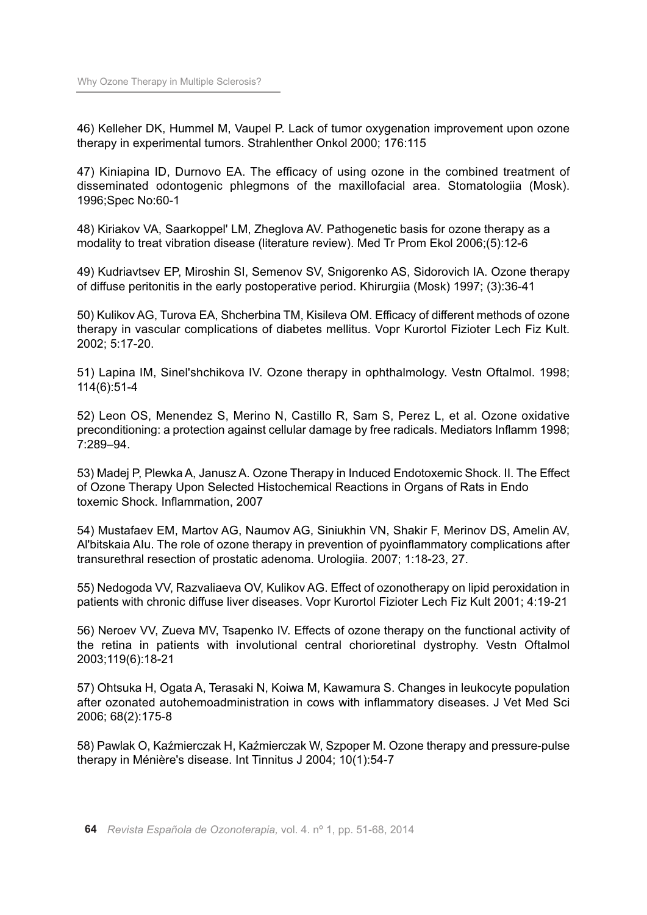46) Kelleher DK, Hummel M, Vaupel P. Lack of tumor oxygenation improvement upon ozone therapy in experimental tumors. Strahlenther Onkol 2000; 176:115

47) Kiniapina ID, Durnovo EA. The efficacy of using ozone in the combined treatment of disseminated odontogenic phlegmons of the maxillofacial area. Stomatologiia (Mosk). 1996;Spec No:60-1

48) Kiriakov VA, Saarkoppel' LM, Zheglova AV. Pathogenetic basis for ozone therapy as a modality to treat vibration disease (literature review). Med Tr Prom Ekol 2006;(5):12-6

49) Kudriavtsev EP, Miroshin SI, Semenov SV, Snigorenko AS, Sidorovich IA. Ozone therapy of diffuse peritonitis in the early postoperative period. Khirurgiia (Mosk) 1997; (3):36-41

50) Kulikov AG, Turova EA, Shcherbina TM, Kisileva OM. Efficacy of different methods of ozone therapy in vascular complications of diabetes mellitus. Vopr Kurortol Fizioter Lech Fiz Kult. 2002; 5:17-20.

51) Lapina IM, Sinel'shchikova IV. Ozone therapy in ophthalmology. Vestn Oftalmol. 1998; 114(6):51-4

52) Leon OS, Menendez S, Merino N, Castillo R, Sam S, Perez L, et al. Ozone oxidative preconditioning: a protection against cellular damage by free radicals. Mediators Inflamm 1998; 7:289–94.

53) Madej P, Plewka A, Janusz A. Ozone Therapy in Induced Endotoxemic Shock. II. The Effect of Ozone Therapy Upon Selected Histochemical Reactions in Organs of Rats in Endo toxemic Shock. Inflammation, 2007

54) Mustafaev EM, Martov AG, Naumov AG, Siniukhin VN, Shakir F, Merinov DS, Amelin AV, Al'bitskaia AIu. The role of ozone therapy in prevention of pyoinflammatory complications after transurethral resection of prostatic adenoma. Urologiia. 2007; 1:18-23, 27.

55) Nedogoda VV, Razvaliaeva OV, Kulikov AG. Effect of ozonotherapy on lipid peroxidation in patients with chronic diffuse liver diseases. Vopr Kurortol Fizioter Lech Fiz Kult 2001; 4:19-21

56) Neroev VV, Zueva MV, Tsapenko IV. Effects of ozone therapy on the functional activity of the retina in patients with involutional central chorioretinal dystrophy. Vestn Oftalmol 2003;119(6):18-21

57) Ohtsuka H, Ogata A, Terasaki N, Koiwa M, Kawamura S. Changes in leukocyte population after ozonated autohemoadministration in cows with inflammatory diseases. J Vet Med Sci 2006; 68(2):175-8

58) Pawlak O, Kaźmierczak H, Kaźmierczak W, Szpoper M. Ozone therapy and pressure-pulse therapy in Ménière's disease. Int Tinnitus J 2004; 10(1):54-7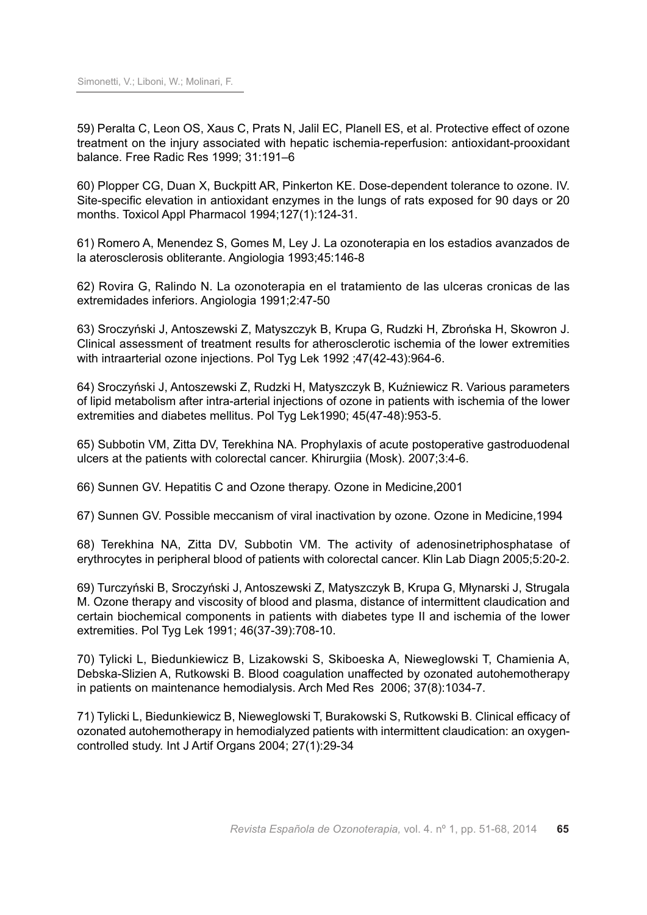59) Peralta C, Leon OS, Xaus C, Prats N, Jalil EC, Planell ES, et al. Protective effect of ozone treatment on the injury associated with hepatic ischemia-reperfusion: antioxidant-prooxidant balance. Free Radic Res 1999; 31:191–6

60) Plopper CG, Duan X, Buckpitt AR, Pinkerton KE. Dose-dependent tolerance to ozone. IV. Site-specific elevation in antioxidant enzymes in the lungs of rats exposed for 90 days or 20 months. Toxicol Appl Pharmacol 1994;127(1):124-31.

61) Romero A, Menendez S, Gomes M, Ley J. La ozonoterapia en los estadios avanzados de la aterosclerosis obliterante. Angiologia 1993;45:146-8

62) Rovira G, Ralindo N. La ozonoterapia en el tratamiento de las ulceras cronicas de las extremidades inferiors. Angiologia 1991;2:47-50

63) Sroczyński J, Antoszewski Z, Matyszczyk B, Krupa G, Rudzki H, Zbrońska H, Skowron J. Clinical assessment of treatment results for atherosclerotic ischemia of the lower extremities with intraarterial ozone injections. Pol Tyg Lek 1992 ;47(42-43):964-6.

64) Sroczyński J, Antoszewski Z, Rudzki H, Matyszczyk B, Kuźniewicz R. Various parameters of lipid metabolism after intra-arterial injections of ozone in patients with ischemia of the lower extremities and diabetes mellitus. Pol Tyg Lek1990; 45(47-48):953-5.

65) Subbotin VM, Zitta DV, Terekhina NA. Prophylaxis of acute postoperative gastroduodenal ulcers at the patients with colorectal cancer. Khirurgiia (Mosk). 2007;3:4-6.

66) Sunnen GV. Hepatitis C and Ozone therapy. Ozone in Medicine,2001

67) Sunnen GV. Possible meccanism of viral inactivation by ozone. Ozone in Medicine,1994

68) Terekhina NA, Zitta DV, Subbotin VM. The activity of adenosinetriphosphatase of erythrocytes in peripheral blood of patients with colorectal cancer. Klin Lab Diagn 2005;5:20-2.

69) Turczyński B, Sroczyński J, Antoszewski Z, Matyszczyk B, Krupa G, Młynarski J, Strugala M. Ozone therapy and viscosity of blood and plasma, distance of intermittent claudication and certain biochemical components in patients with diabetes type II and ischemia of the lower extremities. Pol Tyg Lek 1991; 46(37-39):708-10.

70) Tylicki L, Biedunkiewicz B, Lizakowski S, Skiboeska A, Nieweglowski T, Chamienia A, Debska-Slizien A, Rutkowski B. Blood coagulation unaffected by ozonated autohemotherapy in patients on maintenance hemodialysis. Arch Med Res 2006; 37(8):1034-7.

71) Tylicki L, Biedunkiewicz B, Nieweglowski T, Burakowski S, Rutkowski B. Clinical efficacy of ozonated autohemotherapy in hemodialyzed patients with intermittent claudication: an oxygencontrolled study. Int J Artif Organs 2004; 27(1):29-34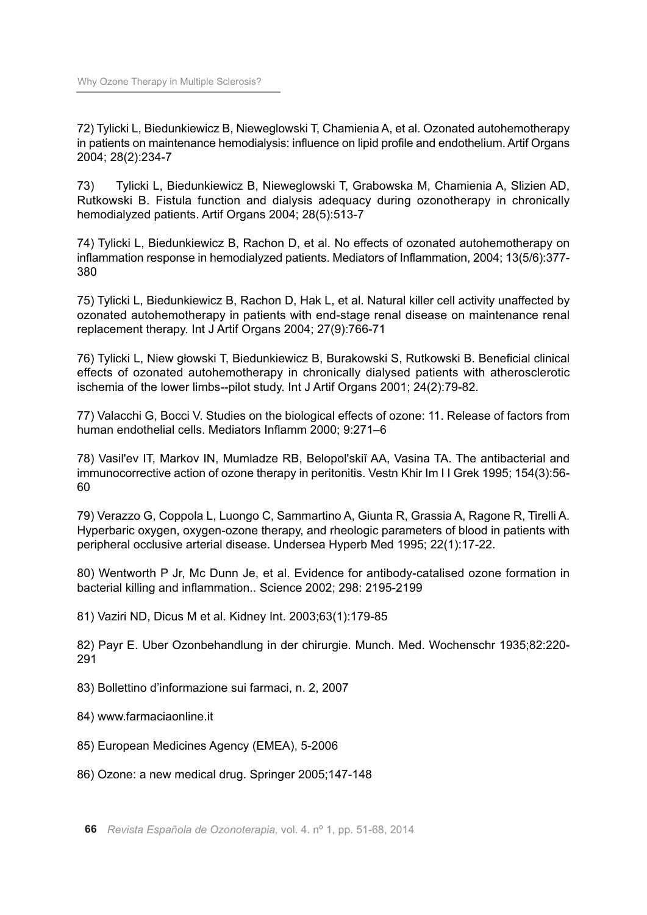72) Tylicki L, Biedunkiewicz B, Nieweglowski T, Chamienia A, et al. Ozonated autohemotherapy in patients on maintenance hemodialysis: influence on lipid profile and endothelium. Artif Organs 2004; 28(2):234-7

73) Tylicki L, Biedunkiewicz B, Nieweglowski T, Grabowska M, Chamienia A, Slizien AD, Rutkowski B. Fistula function and dialysis adequacy during ozonotherapy in chronically hemodialyzed patients. Artif Organs 2004; 28(5):513-7

74) Tylicki L, Biedunkiewicz B, Rachon D, et al. No effects of ozonated autohemotherapy on inflammation response in hemodialyzed patients. Mediators of Inflammation, 2004; 13(5/6):377- 380

75) Tylicki L, Biedunkiewicz B, Rachon D, Hak L, et al. Natural killer cell activity unaffected by ozonated autohemotherapy in patients with end-stage renal disease on maintenance renal replacement therapy. Int J Artif Organs 2004; 27(9):766-71

76) Tylicki L, Niew głowski T, Biedunkiewicz B, Burakowski S, Rutkowski B. Beneficial clinical effects of ozonated autohemotherapy in chronically dialysed patients with atherosclerotic ischemia of the lower limbs--pilot study. Int J Artif Organs 2001; 24(2):79-82.

77) Valacchi G, Bocci V. Studies on the biological effects of ozone: 11. Release of factors from human endothelial cells. Mediators Inflamm 2000; 9:271–6

78) Vasil'ev IT, Markov IN, Mumladze RB, Belopol'skiĭ AA, Vasina TA. The antibacterial and immunocorrective action of ozone therapy in peritonitis. Vestn Khir Im I I Grek 1995; 154(3):56- 60

79) Verazzo G, Coppola L, Luongo C, Sammartino A, Giunta R, Grassia A, Ragone R, Tirelli A. Hyperbaric oxygen, oxygen-ozone therapy, and rheologic parameters of blood in patients with peripheral occlusive arterial disease. Undersea Hyperb Med 1995; 22(1):17-22.

80) Wentworth P Jr, Mc Dunn Je, et al. Evidence for antibody-catalised ozone formation in bacterial killing and inflammation.. Science 2002; 298: 2195-2199

81) Vaziri ND, Dicus M et al. Kidney Int. 2003;63(1):179-85

82) Payr E. Uber Ozonbehandlung in der chirurgie. Munch. Med. Wochenschr 1935;82:220- 291

83) Bollettino d'informazione sui farmaci, n. 2, 2007

84) www.farmaciaonline.it

- 85) European Medicines Agency (EMEA), 5-2006
- 86) Ozone: a new medical drug. Springer 2005;147-148

**66** *Revista Española de Ozonoterapia,* vol. 4. nº 1, pp. 51-68, 2014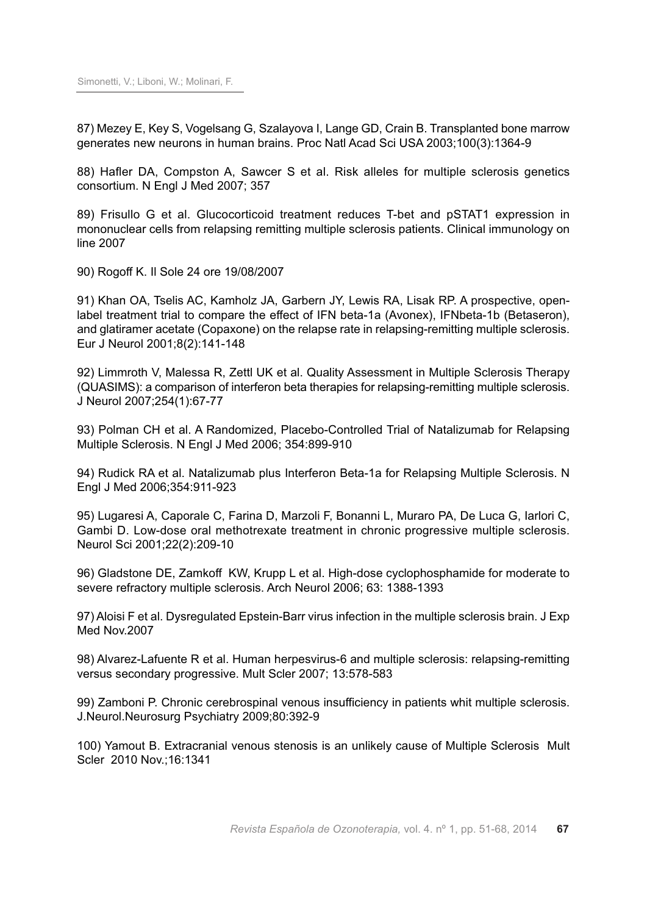87) Mezey E, Key S, Vogelsang G, Szalayova I, Lange GD, Crain B. Transplanted bone marrow generates new neurons in human brains. Proc Natl Acad Sci USA 2003;100(3):1364-9

88) Hafler DA, Compston A, Sawcer S et al. Risk alleles for multiple sclerosis genetics consortium. N Engl J Med 2007; 357

89) Frisullo G et al. Glucocorticoid treatment reduces T-bet and pSTAT1 expression in mononuclear cells from relapsing remitting multiple sclerosis patients. Clinical immunology on line 2007

90) Rogoff K. Il Sole 24 ore 19/08/2007

91) Khan OA, Tselis AC, Kamholz JA, Garbern JY, Lewis RA, Lisak RP. A prospective, openlabel treatment trial to compare the effect of IFN beta-1a (Avonex), IFNbeta-1b (Betaseron), and glatiramer acetate (Copaxone) on the relapse rate in relapsing-remitting multiple sclerosis. Eur J Neurol 2001;8(2):141-148

92) Limmroth V, Malessa R, Zettl UK et al. Quality Assessment in Multiple Sclerosis Therapy (QUASIMS): a comparison of interferon beta therapies for relapsing-remitting multiple sclerosis. J Neurol 2007;254(1):67-77

93) Polman CH et al. A Randomized, Placebo-Controlled Trial of Natalizumab for Relapsing Multiple Sclerosis. N Engl J Med 2006; 354:899-910

94) Rudick RA et al. Natalizumab plus Interferon Beta-1a for Relapsing Multiple Sclerosis. N Engl J Med 2006;354:911-923

95) Lugaresi A, Caporale C, Farina D, Marzoli F, Bonanni L, Muraro PA, De Luca G, Iarlori C, Gambi D. Low-dose oral methotrexate treatment in chronic progressive multiple sclerosis. Neurol Sci 2001;22(2):209-10

96) Gladstone DE, Zamkoff KW, Krupp L et al. High-dose cyclophosphamide for moderate to severe refractory multiple sclerosis. Arch Neurol 2006; 63: 1388-1393

97) Aloisi F et al. Dysregulated Epstein-Barr virus infection in the multiple sclerosis brain. J Exp Med Nov.2007

98) Alvarez-Lafuente R et al. Human herpesvirus-6 and multiple sclerosis: relapsing-remitting versus secondary progressive. Mult Scler 2007; 13:578-583

99) Zamboni P. Chronic cerebrospinal venous insufficiency in patients whit multiple sclerosis. J.Neurol.Neurosurg Psychiatry 2009;80:392-9

100) Yamout B. Extracranial venous stenosis is an unlikely cause of Multiple Sclerosis Mult Scler 2010 Nov.;16:1341